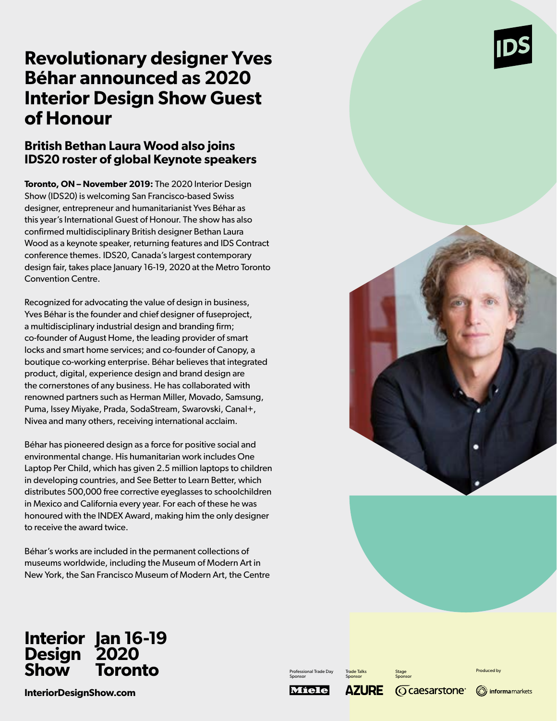# **Revolutionary designer Yves Béhar announced as 2020 Interior Design Show Guest of Honour**

## **British Bethan Laura Wood also joins IDS20 roster of global Keynote speakers**

**Toronto, ON – November 2019:** The 2020 Interior Design Show (IDS20) is welcoming San Francisco-based Swiss designer, entrepreneur and humanitarianist Yves Béhar as this year's International Guest of Honour. The show has also confirmed multidisciplinary British designer Bethan Laura Wood as a keynote speaker, returning features and IDS Contract conference themes. IDS20, Canada's largest contemporary design fair, takes place January 16-19, 2020 at the Metro Toronto Convention Centre.

Recognized for advocating the value of design in business, Yves Béhar is the founder and chief designer of fuseproject, a multidisciplinary industrial design and branding firm; co-founder of August Home, the leading provider of smart locks and smart home services; and co-founder of Canopy, a boutique co-working enterprise. Béhar believes that integrated product, digital, experience design and brand design are the cornerstones of any business. He has collaborated with renowned partners such as Herman Miller, Movado, Samsung, Puma, Issey Miyake, Prada, SodaStream, Swarovski, Canal+, Nivea and many others, receiving international acclaim.

Béhar has pioneered design as a force for positive social and environmental change. His humanitarian work includes One Laptop Per Child, which has given 2.5 million laptops to children in developing countries, and See Better to Learn Better, which distributes 500,000 free corrective eyeglasses to schoolchildren in Mexico and California every year. For each of these he was honoured with the INDEX Award, making him the only designer to receive the award twice.

Béhar's works are included in the permanent collections of museums worldwide, including the Museum of Modern Art in New York, the San Francisco Museum of Modern Art, the Centre

**Jan 16-19** 

**2020 Toronto**

### **InteriorDesignShow.com**

**Interior Design Show**

Professional Trade Day Sponsor

Trade Talks Sponsor

Stage Sponsor

Produced by





**AZURE** Miele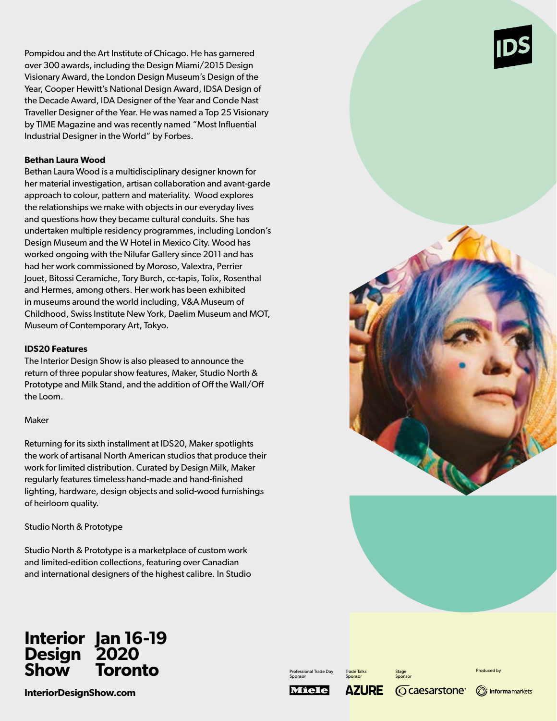Pompidou and the Art Institute of Chicago. He has garnered over 300 awards, including the Design Miami/2015 Design Visionary Award, the London Design Museum's Design of the Year, Cooper Hewitt's National Design Award, IDSA Design of the Decade Award, IDA Designer of the Year and Conde Nast Traveller Designer of the Year. He was named a Top 25 Visionary by TIME Magazine and was recently named "Most Influential Industrial Designer in the World" by Forbes.

### **Bethan Laura Wood**

Bethan Laura Wood is a multidisciplinary designer known for her material investigation, artisan collaboration and avant-garde approach to colour, pattern and materiality. Wood explores the relationships we make with objects in our everyday lives and questions how they became cultural conduits. She has undertaken multiple residency programmes, including London's Design Museum and the W Hotel in Mexico City. Wood has worked ongoing with the Nilufar Gallery since 2011 and has had her work commissioned by Moroso, Valextra, Perrier Jouet, Bitossi Ceramiche, Tory Burch, cc-tapis, Tolix, Rosenthal and Hermes, among others. Her work has been exhibited in museums around the world including, V&A Museum of Childhood, Swiss Institute New York, Daelim Museum and MOT, Museum of Contemporary Art, Tokyo.

### **IDS20 Features**

The Interior Design Show is also pleased to announce the return of three popular show features, Maker, Studio North & Prototype and Milk Stand, and the addition of Off the Wall/Off the Loom.

### Maker

Returning for its sixth installment at IDS20, Maker spotlights the work of artisanal North American studios that produce their work for limited distribution. Curated by Design Milk, Maker regularly features timeless hand-made and hand-finished lighting, hardware, design objects and solid-wood furnishings of heirloom quality.

Studio North & Prototype

Studio North & Prototype is a marketplace of custom work and limited-edition collections, featuring over Canadian and international designers of the highest calibre. In Studio

#### **Interior Design Show Jan 16-19 2020 Toronto**

**InteriorDesignShow.com**

Professional Trade Day Sponsor

Trade Talks Sponsor

Miele



**AZURE** 



Stage







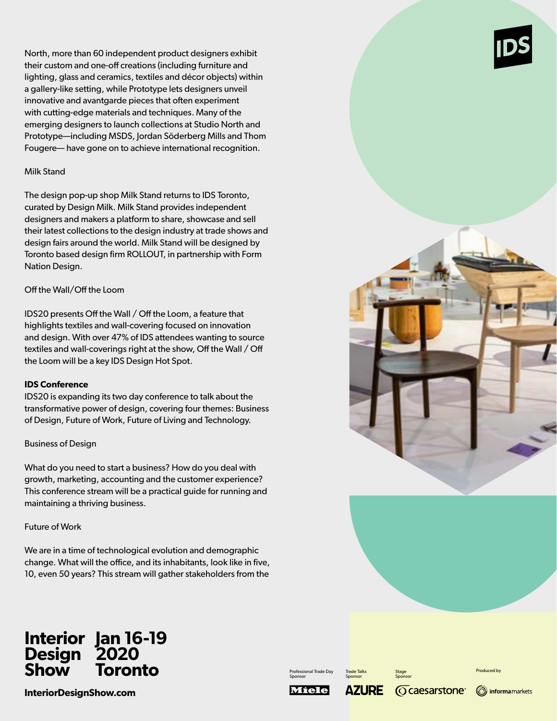North, more than 60 independent product designers exhibit their custom and one-off creations (including furniture and lighting, glass and ceramics, textiles and décor objects) within a gallery-like setting, while Prototype lets designers unveil innovative and avantgarde pieces that often experiment with cutting-edge materials and techniques. Many of the emerging designers to launch collections at Studio North and Prototype—including MSDS, Jordan Söderberg Mills and Thom Fougere— have gone on to achieve international recognition.

### Milk Stand

The design pop-up shop Milk Stand returns to IDS Toronto, curated by Design Milk. Milk Stand provides independent designers and makers a platform to share, showcase and sell their latest collections to the design industry at trade shows and design fairs around the world. Milk Stand will be designed by Toronto based design firm ROLLOUT, in partnership with Form Nation Design.

### Off the Wall/Off the Loom

IDS20 presents Off the Wall / Off the Loom, a feature that highlights textiles and wall-covering focused on innovation and design. With over 47% of IDS attendees wanting to source textiles and wall-coverings right at the show, Off the Wall / Off the Loom will be a key IDS Design Hot Spot.

### **IDS Conference**

IDS20 is expanding its two day conference to talk about the transformative power of design, covering four themes: Business of Design, Future of Work, Future of Living and Technology.

### Business of Design

What do you need to start a business? How do you deal with growth, marketing, accounting and the customer experience? This conference stream will be a practical guide for running and maintaining a thriving business.

### Future of Work

We are in a time of technological evolution and demographic change. What will the office, and its inhabitants, look like in five, 10, even 50 years? This stream will gather stakeholders from the



#### **Interior Design Show Jan 16-19 2020 Toronto**

**InteriorDesignShow.com**

Professional Trade Day Sponsor

Trade Talks Sponsor

Stage Sponsor

**Caesarstone**®



Produced by

**AZURE** 

Míele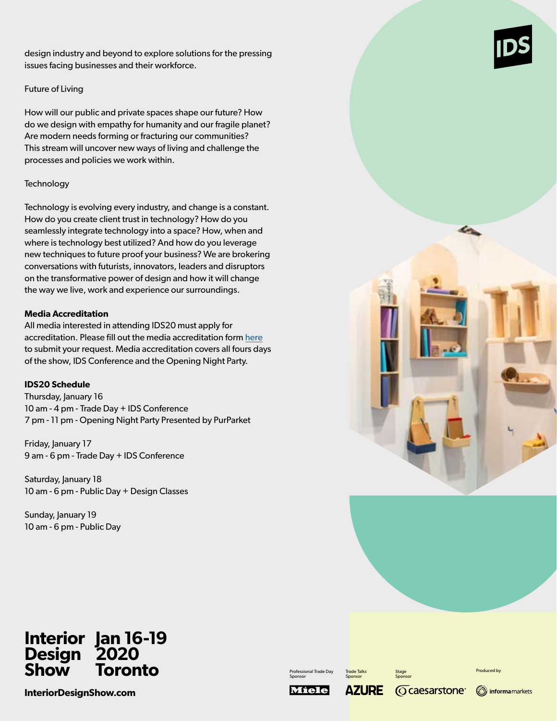design industry and beyond to explore solutions for the pressing issues facing businesses and their workforce.

### Future of Living

How will our public and private spaces shape our future? How do we design with empathy for humanity and our fragile planet? Are modern needs forming or fracturing our communities? This stream will uncover new ways of living and challenge the processes and policies we work within.

### **Technology**

Technology is evolving every industry, and change is a constant. How do you create client trust in technology? How do you seamlessly integrate technology into a space? How, when and where is technology best utilized? And how do you leverage new techniques to future proof your business? We are brokering conversations with futurists, innovators, leaders and disruptors on the transformative power of design and how it will change the way we live, work and experience our surroundings.

### **Media Accreditation**

All media interested in attending IDS20 must apply for accreditation. Please fill out the media accreditation form here to submit your request. Media accreditation covers all fours days of the show, IDS Conference and the Opening Night Party.

### **IDS20 Schedule**

Thursday, January 16 10 am - 4 pm - Trade Day + IDS Conference 7 pm - 11 pm - Opening Night Party Presented by PurParket

Friday, January 17 9 am - 6 pm - Trade Day + IDS Conference

Saturday, January 18 10 am - 6 pm - Public Day + Design Classes

Sunday, January 19 10 am - 6 pm - Public Day





#### **Interior Design Show Jan 16-19 2020 Toronto**

**InteriorDesignShow.com**

Professional Trade Day Sponsor

Trade Talks Sponsor

Stage Sponsor

**Caesarstone**®

Produced by

informa markets